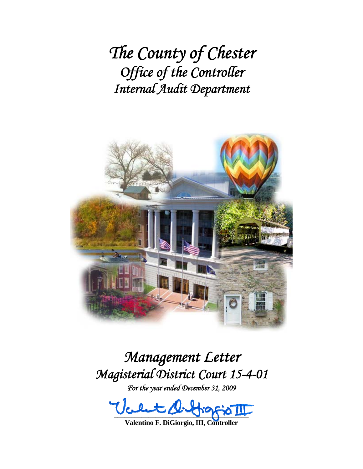*The County of Chester Office of the Controller Internal Audit Department*



# *Management Letter Magisterial District Court 15-4-01*

*For the year ended December 31, 2009* 

 $-22 - 3 - 3 - 8$ 

**Valentino F. DiGiorgio, III, Controller**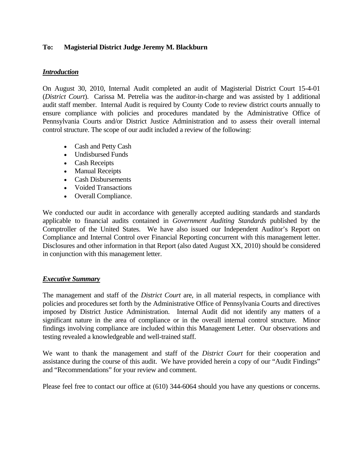#### **To: Magisterial District Judge Jeremy M. Blackburn**

#### *Introduction*

On August 30, 2010, Internal Audit completed an audit of Magisterial District Court 15-4-01 (*District Court*). Carissa M. Petrelia was the auditor-in-charge and was assisted by 1 additional audit staff member. Internal Audit is required by County Code to review district courts annually to ensure compliance with policies and procedures mandated by the Administrative Office of Pennsylvania Courts and/or District Justice Administration and to assess their overall internal control structure. The scope of our audit included a review of the following:

- Cash and Petty Cash
- Undisbursed Funds
- Cash Receipts
- Manual Receipts
- Cash Disbursements
- Voided Transactions
- Overall Compliance.

We conducted our audit in accordance with generally accepted auditing standards and standards applicable to financial audits contained in *Government Auditing Standards* published by the Comptroller of the United States. We have also issued our Independent Auditor's Report on Compliance and Internal Control over Financial Reporting concurrent with this management letter. Disclosures and other information in that Report (also dated August XX, 2010) should be considered in conjunction with this management letter.

#### *Executive Summary*

The management and staff of the *District Court* are, in all material respects, in compliance with policies and procedures set forth by the Administrative Office of Pennsylvania Courts and directives imposed by District Justice Administration. Internal Audit did not identify any matters of a significant nature in the area of compliance or in the overall internal control structure. Minor findings involving compliance are included within this Management Letter. Our observations and testing revealed a knowledgeable and well-trained staff.

We want to thank the management and staff of the *District Court* for their cooperation and assistance during the course of this audit. We have provided herein a copy of our "Audit Findings" and "Recommendations" for your review and comment.

Please feel free to contact our office at (610) 344-6064 should you have any questions or concerns.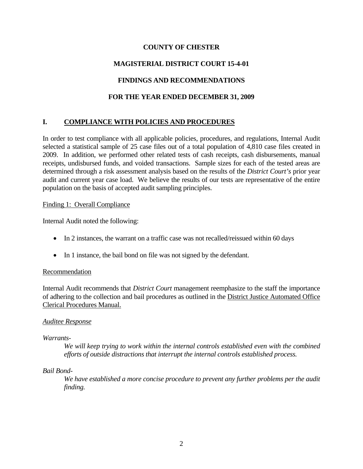## **COUNTY OF CHESTER**

# **MAGISTERIAL DISTRICT COURT 15-4-01**

## **FINDINGS AND RECOMMENDATIONS**

## **FOR THE YEAR ENDED DECEMBER 31, 2009**

# **I. COMPLIANCE WITH POLICIES AND PROCEDURES**

In order to test compliance with all applicable policies, procedures, and regulations, Internal Audit selected a statistical sample of 25 case files out of a total population of 4,810 case files created in 2009. In addition, we performed other related tests of cash receipts, cash disbursements, manual receipts, undisbursed funds, and voided transactions. Sample sizes for each of the tested areas are determined through a risk assessment analysis based on the results of the *District Court's* prior year audit and current year case load. We believe the results of our tests are representative of the entire population on the basis of accepted audit sampling principles.

#### Finding 1: Overall Compliance

Internal Audit noted the following:

- In 2 instances, the warrant on a traffic case was not recalled/reissued within 60 days
- In 1 instance, the bail bond on file was not signed by the defendant.

#### Recommendation

Internal Audit recommends that *District Court* management reemphasize to the staff the importance of adhering to the collection and bail procedures as outlined in the District Justice Automated Office Clerical Procedures Manual.

#### *Auditee Response*

#### *Warrants-*

*We will keep trying to work within the internal controls established even with the combined efforts of outside distractions that interrupt the internal controls established process.* 

#### *Bail Bond-*

*We have established a more concise procedure to prevent any further problems per the audit finding.*